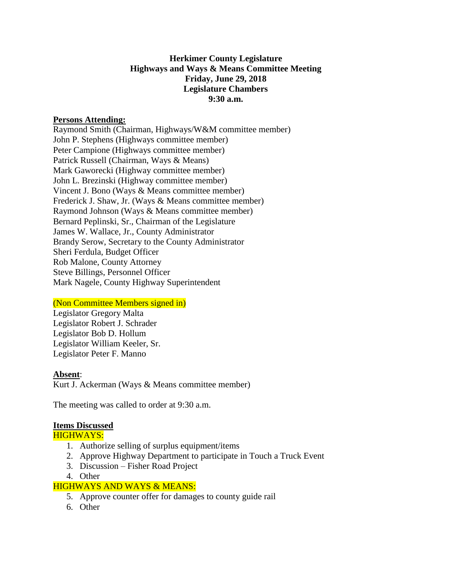# **Herkimer County Legislature Highways and Ways & Means Committee Meeting Friday, June 29, 2018 Legislature Chambers 9:30 a.m.**

## **Persons Attending:**

Raymond Smith (Chairman, Highways/W&M committee member) John P. Stephens (Highways committee member) Peter Campione (Highways committee member) Patrick Russell (Chairman, Ways & Means) Mark Gaworecki (Highway committee member) John L. Brezinski (Highway committee member) Vincent J. Bono (Ways & Means committee member) Frederick J. Shaw, Jr. (Ways & Means committee member) Raymond Johnson (Ways & Means committee member) Bernard Peplinski, Sr., Chairman of the Legislature James W. Wallace, Jr., County Administrator Brandy Serow, Secretary to the County Administrator Sheri Ferdula, Budget Officer Rob Malone, County Attorney Steve Billings, Personnel Officer Mark Nagele, County Highway Superintendent

#### (Non Committee Members signed in)

Legislator Gregory Malta Legislator Robert J. Schrader Legislator Bob D. Hollum Legislator William Keeler, Sr. Legislator Peter F. Manno

#### **Absent**:

Kurt J. Ackerman (Ways & Means committee member)

The meeting was called to order at 9:30 a.m.

# **Items Discussed**

#### HIGHWAYS:

- 1. Authorize selling of surplus equipment/items
- 2. Approve Highway Department to participate in Touch a Truck Event
- 3. Discussion Fisher Road Project
- 4. Other

# HIGHWAYS AND WAYS & MEANS:

- 5. Approve counter offer for damages to county guide rail
- 6. Other